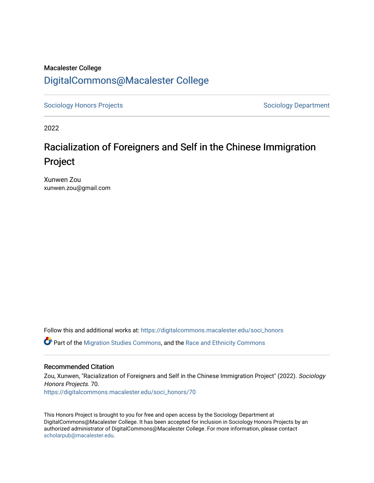## Macalester College [DigitalCommons@Macalester College](https://digitalcommons.macalester.edu/)

[Sociology Honors Projects](https://digitalcommons.macalester.edu/soci_honors) **Sociology Department** 

2022

## Racialization of Foreigners and Self in the Chinese Immigration Project

Xunwen Zou xunwen.zou@gmail.com

Follow this and additional works at: [https://digitalcommons.macalester.edu/soci\\_honors](https://digitalcommons.macalester.edu/soci_honors?utm_source=digitalcommons.macalester.edu%2Fsoci_honors%2F70&utm_medium=PDF&utm_campaign=PDFCoverPages)

Part of the [Migration Studies Commons,](https://network.bepress.com/hgg/discipline/1394?utm_source=digitalcommons.macalester.edu%2Fsoci_honors%2F70&utm_medium=PDF&utm_campaign=PDFCoverPages) and the [Race and Ethnicity Commons](https://network.bepress.com/hgg/discipline/426?utm_source=digitalcommons.macalester.edu%2Fsoci_honors%2F70&utm_medium=PDF&utm_campaign=PDFCoverPages)

#### Recommended Citation

Zou, Xunwen, "Racialization of Foreigners and Self in the Chinese Immigration Project" (2022). Sociology Honors Projects. 70. [https://digitalcommons.macalester.edu/soci\\_honors/70](https://digitalcommons.macalester.edu/soci_honors/70?utm_source=digitalcommons.macalester.edu%2Fsoci_honors%2F70&utm_medium=PDF&utm_campaign=PDFCoverPages) 

This Honors Project is brought to you for free and open access by the Sociology Department at DigitalCommons@Macalester College. It has been accepted for inclusion in Sociology Honors Projects by an authorized administrator of DigitalCommons@Macalester College. For more information, please contact [scholarpub@macalester.edu](mailto:scholarpub@macalester.edu).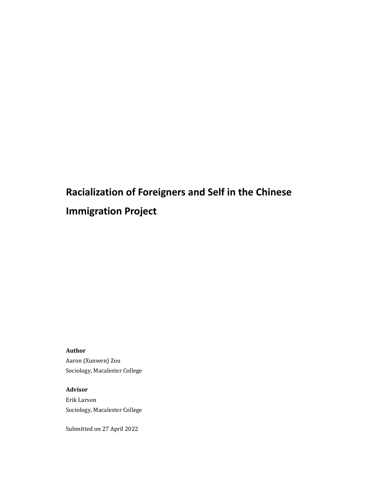# **Racialization of Foreigners and Self in the Chinese Immigration Project**

**Author**

Aaron (Xunwen) Zou Sociology, Macalester College

**Advisor** Erik Larson Sociology, Macalester College

Submitted on 27 April 2022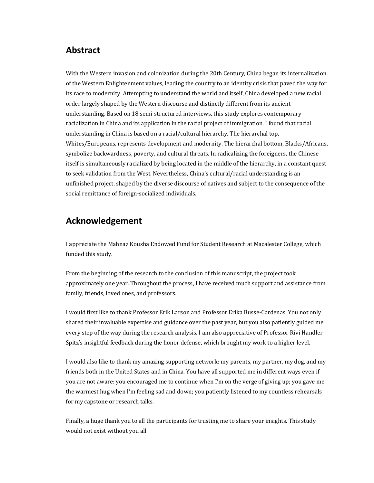## **Abstract**

With the Western invasion and colonization during the 20th Century, China began its internalization of the Western Enlightenment values, leading the country to an identity crisis that paved the way for its race to modernity. Attempting to understand the world and itself, China developed a new racial order largely shaped by the Western discourse and distinctly different from its ancient understanding. Based on 18 semi-structured interviews, this study explores contemporary racialization in China and its application in the racial project of immigration. I found that racial understanding in China is based on a racial/cultural hierarchy. The hierarchal top, Whites/Europeans, represents development and modernity. The hierarchal bottom, Blacks/Africans, symbolize backwardness, poverty, and cultural threats. In radicalizing the foreigners, the Chinese itself is simultaneously racialized by being located in the middle of the hierarchy, in a constant quest to seek validation from the West. Nevertheless, China's cultural/racial understanding is an unfinished project, shaped by the diverse discourse of natives and subject to the consequence of the social remittance of foreign-socialized individuals.

## **Acknowledgement**

I appreciate the Mahnaz Kousha Endowed Fund for Student Research at Macalester College, which funded this study.

From the beginning of the research to the conclusion of this manuscript, the project took approximately one year. Throughout the process, I have received much support and assistance from family, friends, loved ones, and professors.

I would first like to thank Professor Erik Larson and Professor Erika Busse-Cardenas. You not only shared their invaluable expertise and guidance over the past year, but you also patiently guided me every step of the way during the research analysis. I am also appreciative of Professor Rivi Handler-Spitz's insightful feedback during the honor defense, which brought my work to a higher level.

I would also like to thank my amazing supporting network: my parents, my partner, my dog, and my friends both in the United States and in China. You have all supported me in different ways even if you are not aware: you encouraged me to continue when I'm on the verge of giving up; you gave me the warmest hug when I'm feeling sad and down; you patiently listened to my countless rehearsals for my capstone or research talks.

Finally, a huge thank you to all the participants for trusting me to share your insights. This study would not exist without you all.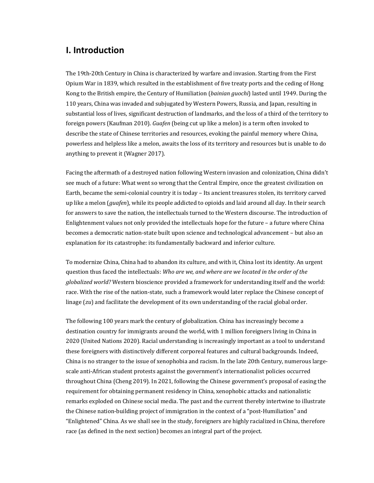## **I. Introduction**

The 19th-20th Century in China is characterized by warfare and invasion. Starting from the First Opium War in 1839, which resulted in the establishment of five treaty ports and the ceding of Hong Kong to the British empire, the Century of Humiliation (*bainian guochi*) lasted until 1949. During the 110 years, China was invaded and subjugated by Western Powers, Russia, and Japan, resulting in substantial loss of lives, significant destruction of landmarks, and the loss of a third of the territory to foreign powers (Kaufman 2010). *Guafen* (being cut up like a melon) is a term often invoked to describe the state of Chinese territories and resources, evoking the painful memory where China, powerless and helpless like a melon, awaits the loss of its territory and resources but is unable to do anything to prevent it (Wagner 2017).

Facing the aftermath of a destroyed nation following Western invasion and colonization, China didn't see much of a future: What went so wrong that the Central Empire, once the greatest civilization on Earth, became the semi-colonial country it is today – Its ancient treasures stolen, its territory carved up like a melon (*guafen*), while its people addicted to opioids and laid around all day. In their search for answers to save the nation, the intellectuals turned to the Western discourse. The introduction of Enlightenment values not only provided the intellectuals hope for the future  $-$  a future where China becomes a democratic nation-state built upon science and technological advancement – but also an explanation for its catastrophe: its fundamentally backward and inferior culture.

To modernize China, China had to abandon its culture, and with it, China lost its identity. An urgent question thus faced the intellectuals: *Who are we, and where are we located in the order of the globalized* world? Western bioscience provided a framework for understanding itself and the world: race. With the rise of the nation-state, such a framework would later replace the Chinese concept of linage (*zu*) and facilitate the development of its own understanding of the racial global order.

The following 100 years mark the century of globalization. China has increasingly become a destination country for immigrants around the world, with 1 million foreigners living in China in 2020 (United Nations 2020). Racial understanding is increasingly important as a tool to understand these foreigners with distinctively different corporeal features and cultural backgrounds. Indeed, China is no stranger to the issue of xenophobia and racism. In the late 20th Century, numerous largescale anti-African student protests against the government's internationalist policies occurred throughout China (Cheng 2019). In 2021, following the Chinese government's proposal of easing the requirement for obtaining permanent residency in China, xenophobic attacks and nationalistic remarks exploded on Chinese social media. The past and the current thereby intertwine to illustrate the Chinese nation-building project of immigration in the context of a "post-Humiliation" and "Enlightened" China. As we shall see in the study, foreigners are highly racialized in China, therefore race (as defined in the next section) becomes an integral part of the project.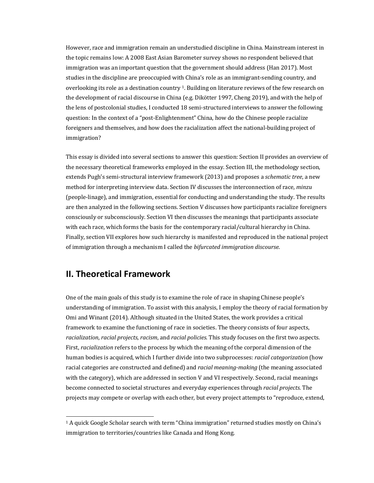However, race and immigration remain an understudied discipline in China. Mainstream interest in the topic remains low: A 2008 East Asian Barometer survey shows no respondent believed that immigration was an important question that the government should address (Han 2017). Most studies in the discipline are preoccupied with China's role as an immigrant-sending country, and overlooking its role as a destination country <sup>1</sup>. Building on literature reviews of the few research on the development of racial discourse in China (e.g. Dikötter 1997, Cheng 2019), and with the help of the lens of postcolonial studies, I conducted 18 semi-structured interviews to answer the following question: In the context of a "post-Enlightenment" China, how do the Chinese people racialize foreigners and themselves, and how does the racialization affect the national-building project of immigration?

This essay is divided into several sections to answer this question: Section II provides an overview of the necessary theoretical frameworks employed in the essay. Section III, the methodology section, extends Pugh's semi-structural interview framework (2013) and proposes a *schematic tree*, a new method for interpreting interview data. Section IV discusses the interconnection of race, *minzu* (people-linage), and immigration, essential for conducting and understanding the study. The results are then analyzed in the following sections. Section V discusses how participants racialize foreigners consciously or subconsciously. Section VI then discusses the meanings that participants associate with each race, which forms the basis for the contemporary racial/cultural hierarchy in China. Finally, section VII explores how such hierarchy is manifested and reproduced in the national project of immigration through a mechanism I called the *bifurcated immigration discourse*.

## **II. Theoretical Framework**

One of the main goals of this study is to examine the role of race in shaping Chinese people's understanding of immigration. To assist with this analysis, I employ the theory of racial formation by Omi and Winant (2014). Although situated in the United States, the work provides a critical framework to examine the functioning of race in societies. The theory consists of four aspects, *racialization, racial projects, racism, and <i>racial policies*. This study focuses on the first two aspects. First, *racialization* refers to the process by which the meaning of the corporal dimension of the human bodies is acquired, which I further divide into two subprocesses: *racial categorization* (how racial categories are constructed and defined) and *racial meaning-making* (the meaning associated with the category), which are addressed in section V and VI respectively. Second, racial meanings become connected to societal structures and everyday experiences through *racial projects*. The projects may compete or overlap with each other, but every project attempts to "reproduce, extend,

<sup>&</sup>lt;sup>1</sup> A quick Google Scholar search with term "China immigration" returned studies mostly on China's immigration to territories/countries like Canada and Hong Kong.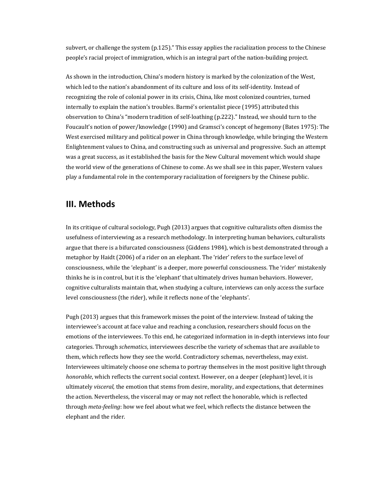subvert, or challenge the system  $(p.125)$ ." This essay applies the racialization process to the Chinese people's racial project of immigration, which is an integral part of the nation-building project.

As shown in the introduction, China's modern history is marked by the colonization of the West, which led to the nation's abandonment of its culture and loss of its self-identity. Instead of recognizing the role of colonial power in its crisis, China, like most colonized countries, turned internally to explain the nation's troubles. Barmé's orientalist piece (1995) attributed this observation to China's "modern tradition of self-loathing (p.222)." Instead, we should turn to the Foucault's notion of power/knowledge (1990) and Gramsci's concept of hegemony (Bates 1975): The West exercised military and political power in China through knowledge, while bringing the Western Enlightenment values to China, and constructing such as universal and progressive. Such an attempt was a great success, as it established the basis for the New Cultural movement which would shape the world view of the generations of Chinese to come. As we shall see in this paper, Western values play a fundamental role in the contemporary racialization of foreigners by the Chinese public.

#### **III. Methods**

In its critique of cultural sociology, Pugh (2013) argues that cognitive culturalists often dismiss the usefulness of interviewing as a research methodology. In interpreting human behaviors, culturalists argue that there is a bifurcated consciousness (Giddens 1984), which is best demonstrated through a metaphor by Haidt (2006) of a rider on an elephant. The 'rider' refers to the surface level of consciousness, while the 'elephant' is a deeper, more powerful consciousness. The 'rider' mistakenly thinks he is in control, but it is the 'elephant' that ultimately drives human behaviors. However, cognitive culturalists maintain that, when studying a culture, interviews can only access the surface level consciousness (the rider), while it reflects none of the 'elephants'.

Pugh (2013) argues that this framework misses the point of the interview. Instead of taking the interviewee's account at face value and reaching a conclusion, researchers should focus on the emotions of the interviewees. To this end, he categorized information in in-depth interviews into four categories. Through *schematics*, interviewees describe the variety of schemas that are available to them, which reflects how they see the world. Contradictory schemas, nevertheless, may exist. Interviewees ultimately choose one schema to portray themselves in the most positive light through *honorable*, which reflects the current social context. However, on a deeper (elephant) level, it is ultimately *visceral*, the emotion that stems from desire, morality, and expectations, that determines the action. Nevertheless, the visceral may or may not reflect the honorable, which is reflected through *meta-feeling*: how we feel about what we feel, which reflects the distance between the elephant and the rider.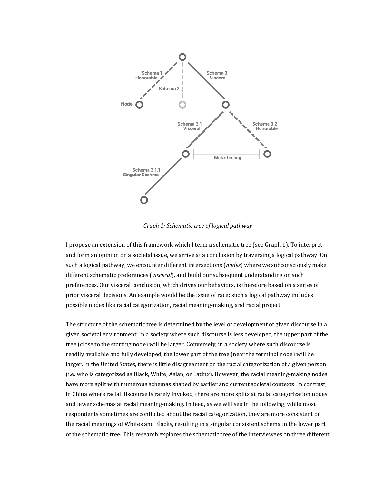

*Graph 1: Schematic tree of logical pathway* 

I propose an extension of this framework which I term a schematic tree (see Graph 1). To interpret and form an opinion on a societal issue, we arrive at a conclusion by traversing a logical pathway. On such a logical pathway, we encounter different intersections (nodes) where we subconsciously make different schematic preferences (*visceral*), and build our subsequent understanding on such preferences. Our visceral conclusion, which drives our behaviors, is therefore based on a series of prior visceral decisions. An example would be the issue of race: such a logical pathway includes possible nodes like racial categorization, racial meaning-making, and racial project.

The structure of the schematic tree is determined by the level of development of given discourse in a given societal environment. In a society where such discourse is less developed, the upper part of the tree (close to the starting node) will be larger. Conversely, in a society where such discourse is readily available and fully developed, the lower part of the tree (near the terminal node) will be larger. In the United States, there is little disagreement on the racial categorization of a given person (i.e. who is categorized as Black, White, Asian, or Latinx). However, the racial meaning-making nodes have more split with numerous schemas shaped by earlier and current societal contexts. In contrast, in China where racial discourse is rarely invoked, there are more splits at racial categorization nodes and fewer schemas at racial meaning-making. Indeed, as we will see in the following, while most respondents sometimes are conflicted about the racial categorization, they are more consistent on the racial meanings of Whites and Blacks, resulting in a singular consistent schema in the lower part of the schematic tree. This research explores the schematic tree of the interviewees on three different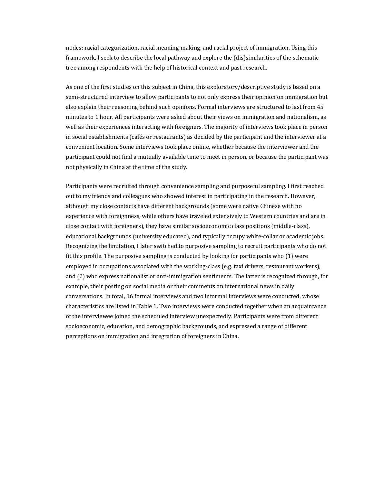nodes: racial categorization, racial meaning-making, and racial project of immigration. Using this framework, I seek to describe the local pathway and explore the (dis)similarities of the schematic tree among respondents with the help of historical context and past research.

As one of the first studies on this subject in China, this exploratory/descriptive study is based on a semi-structured interview to allow participants to not only express their opinion on immigration but also explain their reasoning behind such opinions. Formal interviews are structured to last from 45 minutes to 1 hour. All participants were asked about their views on immigration and nationalism, as well as their experiences interacting with foreigners. The majority of interviews took place in person in social establishments (cafés or restaurants) as decided by the participant and the interviewer at a convenient location. Some interviews took place online, whether because the interviewer and the participant could not find a mutually available time to meet in person, or because the participant was not physically in China at the time of the study.

Participants were recruited through convenience sampling and purposeful sampling. I first reached out to my friends and colleagues who showed interest in participating in the research. However, although my close contacts have different backgrounds (some were native Chinese with no experience with foreignness, while others have traveled extensively to Western countries and are in close contact with foreigners), they have similar socioeconomic class positions (middle-class), educational backgrounds (university educated), and typically occupy white-collar or academic jobs. Recognizing the limitation, I later switched to purposive sampling to recruit participants who do not fit this profile. The purposive sampling is conducted by looking for participants who  $(1)$  were employed in occupations associated with the working-class  $(e.g.$  taxi drivers, restaurant workers), and (2) who express nationalist or anti-immigration sentiments. The latter is recognized through, for example, their posting on social media or their comments on international news in daily conversations. In total, 16 formal interviews and two informal interviews were conducted, whose characteristics are listed in Table 1. Two interviews were conducted together when an acquaintance of the interviewee joined the scheduled interview unexpectedly. Participants were from different socioeconomic, education, and demographic backgrounds, and expressed a range of different perceptions on immigration and integration of foreigners in China.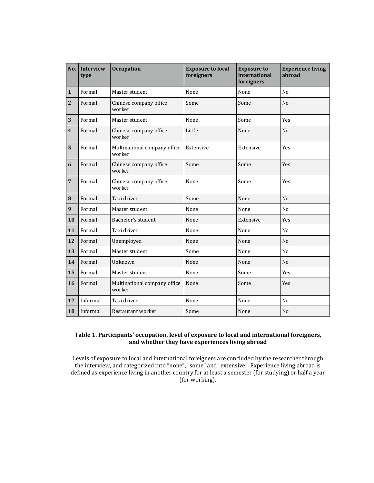| No.                     | <b>Interview</b><br>type | <b>Occupation</b>                      | <b>Exposure to local</b><br>foreigners | <b>Exposure to</b><br>international<br>foreigners | <b>Experience living</b><br>abroad |
|-------------------------|--------------------------|----------------------------------------|----------------------------------------|---------------------------------------------------|------------------------------------|
| $\mathbf{1}$            | Formal                   | Master student                         | None                                   | None                                              | N <sub>0</sub>                     |
| $\overline{2}$          | Formal                   | Chinese company office<br>worker       | Some                                   | Some                                              | N <sub>0</sub>                     |
| 3                       | Formal                   | Master student                         | None                                   | Some                                              | <b>Yes</b>                         |
| $\overline{\mathbf{4}}$ | Formal                   | Chinese company office<br>worker       | Little                                 | None                                              | N <sub>0</sub>                     |
| 5                       | Formal                   | Multinational company office<br>worker | Extensive                              | Extensive                                         | Yes                                |
| 6                       | Formal                   | Chinese company office<br>worker       | Some                                   | Some                                              | <b>Yes</b>                         |
| $\overline{7}$          | Formal                   | Chinese company office<br>worker       | None                                   | Some                                              | Yes                                |
| 8                       | Formal                   | Taxi driver                            | Some                                   | None                                              | N <sub>o</sub>                     |
| 9                       | Formal                   | Master student                         | None                                   | None                                              | No                                 |
| 10                      | Formal                   | Bachelor's student                     | None                                   | Extensive                                         | <b>Yes</b>                         |
| 11                      | Formal                   | Taxi driver                            | None                                   | None                                              | No                                 |
| 12                      | Formal                   | Unemployed                             | None                                   | None                                              | N <sub>o</sub>                     |
| 13                      | Formal                   | Master student                         | Some                                   | None                                              | No                                 |
| 14                      | Formal                   | Unknown                                | None                                   | None                                              | N <sub>o</sub>                     |
| 15                      | Formal                   | Master student                         | None                                   | Some                                              | Yes                                |
| 16                      | Formal                   | Multinational company office<br>worker | None                                   | Some                                              | Yes                                |
| 17                      | Informal                 | Taxi driver                            | None                                   | None                                              | No                                 |
| 18                      | Informal                 | Restaurant worker                      | Some                                   | None                                              | N <sub>o</sub>                     |

#### Table 1. Participants' occupation, level of exposure to local and international foreigners, and whether they have experiences living abroad

Levels of exposure to local and international foreigners are concluded by the researcher through the interview, and categorized into "none", "some" and "extensive". Experience living abroad is defined as experience living in another country for at least a semester (for studying) or half a year (for working).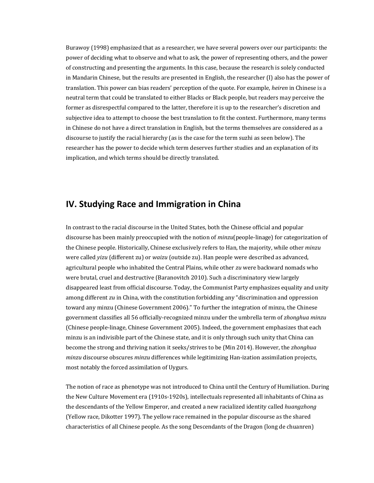Burawoy (1998) emphasized that as a researcher, we have several powers over our participants: the power of deciding what to observe and what to ask, the power of representing others, and the power of constructing and presenting the arguments. In this case, because the research is solely conducted in Mandarin Chinese, but the results are presented in English, the researcher  $(I)$  also has the power of translation. This power can bias readers' perception of the quote. For example, *heiren* in Chinese is a neutral term that could be translated to either Blacks or Black people, but readers may perceive the former as disrespectful compared to the latter, therefore it is up to the researcher's discretion and subjective idea to attempt to choose the best translation to fit the context. Furthermore, many terms in Chinese do not have a direct translation in English, but the terms themselves are considered as a discourse to justify the racial hierarchy (as is the case for the term suzhi as seen below). The researcher has the power to decide which term deserves further studies and an explanation of its implication, and which terms should be directly translated.

## **IV. Studying Race and Immigration in China**

In contrast to the racial discourse in the United States, both the Chinese official and popular discourse has been mainly preoccupied with the notion of *minzu*(people-linage) for categorization of the Chinese people. Historically, Chinese exclusively refers to Han, the majority, while other *minzu* were called *yizu* (different zu) or *waizu* (outside zu). Han people were described as advanced, agricultural people who inhabited the Central Plains, while other *zu* were backward nomads who were brutal, cruel and destructive (Baranovitch 2010). Such a discriminatory view largely disappeared least from official discourse. Today, the Communist Party emphasizes equality and unity among different *zu* in China, with the constitution forbidding any "discrimination and oppression toward any minzu (Chinese Government 2006)." To further the integration of minzu, the Chinese government classifies all 56 officially-recognized minzu under the umbrella term of *zhonghua minzu* (Chinese people-linage, Chinese Government 2005). Indeed, the government emphasizes that each minzu is an indivisible part of the Chinese state, and it is only through such unity that China can become the strong and thriving nation it seeks/strives to be (Min 2014). However, the *zhonghua minzu* discourse obscures *minzu* differences while legitimizing Han-ization assimilation projects, most notably the forced assimilation of Uygurs.

The notion of race as phenotype was not introduced to China until the Century of Humiliation. During the New Culture Movement era (1910s-1920s), intellectuals represented all inhabitants of China as the descendants of the Yellow Emperor, and created a new racialized identity called *huangzhong* (Yellow race, Dikotter 1997). The yellow race remained in the popular discourse as the shared characteristics of all Chinese people. As the song Descendants of the Dragon (long de chuanren)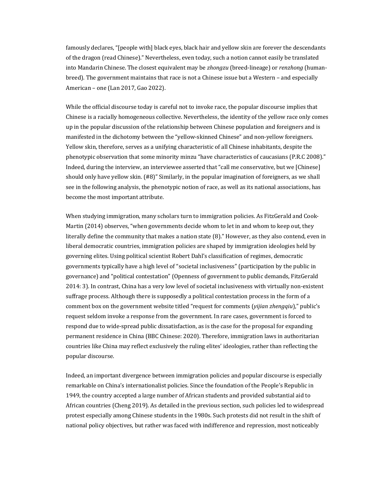famously declares, "[people with] black eyes, black hair and yellow skin are forever the descendants of the dragon (read Chinese)." Nevertheless, even today, such a notion cannot easily be translated into Mandarin Chinese. The closest equivalent may be *zhongzu* (breed-lineage) or *renzhong* (humanbreed). The government maintains that race is not a Chinese issue but a Western - and especially American - one (Lan 2017, Gao 2022).

While the official discourse today is careful not to invoke race, the popular discourse implies that Chinese is a racially homogeneous collective. Nevertheless, the identity of the yellow race only comes up in the popular discussion of the relationship between Chinese population and foreigners and is manifested in the dichotomy between the "yellow-skinned Chinese" and non-yellow foreigners. Yellow skin, therefore, serves as a unifying characteristic of all Chinese inhabitants, despite the phenotypic observation that some minority minzu "have characteristics of caucasians (P.R.C 2008)." Indeed, during the interview, an interviewee asserted that "call me conservative, but we [Chinese] should only have yellow skin.  $(H8)$ " Similarly, in the popular imagination of foreigners, as we shall see in the following analysis, the phenotypic notion of race, as well as its national associations, has become the most important attribute.

When studying immigration, many scholars turn to immigration policies. As FitzGerald and Cook-Martin (2014) observes, "when governments decide whom to let in and whom to keep out, they literally define the community that makes a nation state  $(8)$ ." However, as they also contend, even in liberal democratic countries, immigration policies are shaped by immigration ideologies held by governing elites. Using political scientist Robert Dahl's classification of regimes, democratic governments typically have a high level of "societal inclusiveness" (participation by the public in governance) and "political contestation" (Openness of government to public demands, FitzGerald 2014: 3). In contrast, China has a very low level of societal inclusiveness with virtually non-existent suffrage process. Although there is supposedly a political contestation process in the form of a comment box on the government website titled "request for comments (*yijian zhengqiu*)," public's request seldom invoke a response from the government. In rare cases, government is forced to respond due to wide-spread public dissatisfaction, as is the case for the proposal for expanding permanent residence in China (BBC Chinese: 2020). Therefore, immigration laws in authoritarian countries like China may reflect exclusively the ruling elites' ideologies, rather than reflecting the popular discourse.

Indeed, an important divergence between immigration policies and popular discourse is especially remarkable on China's internationalist policies. Since the foundation of the People's Republic in 1949, the country accepted a large number of African students and provided substantial aid to African countries (Cheng 2019). As detailed in the previous section, such policies led to widespread protest especially among Chinese students in the 1980s. Such protests did not result in the shift of national policy objectives, but rather was faced with indifference and repression, most noticeably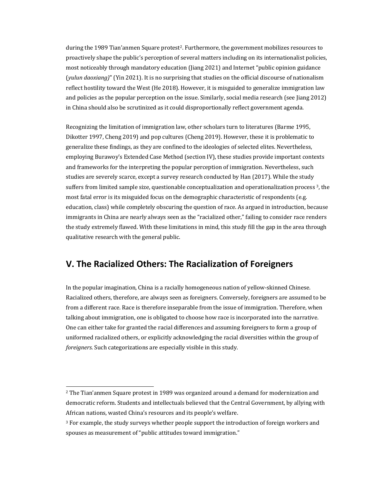during the 1989 Tian'anmen Square protest<sup>2</sup>. Furthermore, the government mobilizes resources to proactively shape the public's perception of several matters including on its internationalist policies, most noticeably through mandatory education (Jiang 2021) and Internet "public opinion guidance (*yulun daoxiang*)" (Yin 2021). It is no surprising that studies on the official discourse of nationalism reflect hostility toward the West (He 2018). However, it is misguided to generalize immigration law and policies as the popular perception on the issue. Similarly, social media research (see Jiang 2012) in China should also be scrutinized as it could disproportionally reflect government agenda.

Recognizing the limitation of immigration law, other scholars turn to literatures (Barme 1995, Dikotter 1997, Cheng 2019) and pop cultures (Cheng 2019). However, these it is problematic to generalize these findings, as they are confined to the ideologies of selected elites. Nevertheless, employing Burawoy's Extended Case Method (section IV), these studies provide important contexts and frameworks for the interpreting the popular perception of immigration. Nevertheless, such studies are severely scarce, except a survey research conducted by Han (2017). While the study suffers from limited sample size, questionable conceptualization and operationalization process  $3$ , the most fatal error is its misguided focus on the demographic characteristic of respondents (e.g. education, class) while completely obscuring the question of race. As argued in introduction, because immigrants in China are nearly always seen as the "racialized other," failing to consider race renders the study extremely flawed. With these limitations in mind, this study fill the gap in the area through qualitative research with the general public.

## **V. The Racialized Others: The Racialization of Foreigners**

In the popular imagination, China is a racially homogeneous nation of yellow-skinned Chinese. Racialized others, therefore, are always seen as foreigners. Conversely, foreigners are assumed to be from a different race. Race is therefore inseparable from the issue of immigration. Therefore, when talking about immigration, one is obligated to choose how race is incorporated into the narrative. One can either take for granted the racial differences and assuming foreigners to form a group of uniformed racialized others, or explicitly acknowledging the racial diversities within the group of *foreigners*. Such categorizations are especially visible in this study.

 $2$  The Tian'anmen Square protest in 1989 was organized around a demand for modernization and democratic reform. Students and intellectuals believed that the Central Government, by allying with African nations, wasted China's resources and its people's welfare.

<sup>&</sup>lt;sup>3</sup> For example, the study surveys whether people support the introduction of foreign workers and spouses as measurement of "public attitudes toward immigration."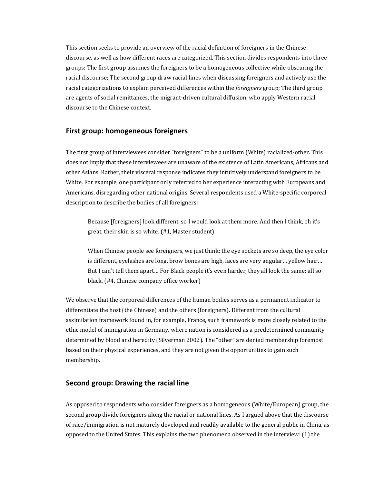This section seeks to provide an overview of the racial definition of foreigners in the Chinese discourse, as well as how different races are categorized. This section divides respondents into three groups: The first group assumes the foreigners to be a homogeneous collective while obscuring the racial discourse; The second group draw racial lines when discussing foreigners and actively use the racial categorizations to explain perceived differences within the *foreigners* group; The third group are agents of social remittances, the migrant-driven cultural diffusion, who apply Western racial discourse to the Chinese context.

#### **First group: homogeneous foreigners**

The first group of interviewees consider "foreigners" to be a uniform (White) racialized-other. This does not imply that these interviewees are unaware of the existence of Latin Americans, Africans and other Asians. Rather, their visceral response indicates they intuitively understand foreigners to be White. For example, one participant only referred to her experience interacting with Europeans and Americans, disregarding other national origins. Several respondents used a White-specific corporeal description to describe the bodies of all foreigners:

Because [foreigners] look different, so I would look at them more. And then I think, oh it's great, their skin is so white. (#1, Master student)

When Chinese people see foreigners, we just think: the eye sockets are so deep, the eye color is different, eyelashes are long, brow bones are high, faces are very angular... yellow hair... But I can't tell them apart... For Black people it's even harder, they all look the same: all so black. (#4, Chinese company office worker)

We observe that the corporeal differences of the human bodies serves as a permanent indicator to differentiate the host (the Chinese) and the others (foreigners). Different from the cultural assimilation framework found in, for example, France, such framework is more closely related to the ethic model of immigration in Germany, where nation is considered as a predetermined community determined by blood and heredity (Silverman 2002). The "other" are denied membership foremost based on their physical experiences, and they are not given the opportunities to gain such membership.

#### **Second group: Drawing the racial line**

As opposed to respondents who consider foreigners as a homogeneous (White/European) group, the second group divide foreigners along the racial or national lines. As I argued above that the discourse of race/immigration is not maturely developed and readily available to the general public in China, as opposed to the United States. This explains the two phenomena observed in the interview:  $(1)$  the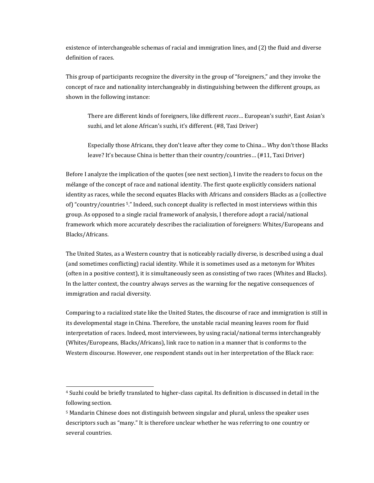existence of interchangeable schemas of racial and immigration lines, and  $(2)$  the fluid and diverse definition of races.

This group of participants recognize the diversity in the group of "foreigners," and they invoke the concept of race and nationality interchangeably in distinguishing between the different groups, as shown in the following instance:

There are different kinds of foreigners, like different *races*... European's suzhi<sup>4</sup>, East Asian's suzhi, and let alone African's suzhi, it's different. (#8, Taxi Driver)

Especially those Africans, they don't leave after they come to China... Why don't those Blacks leave? It's because China is better than their country/countries... (#11, Taxi Driver)

Before I analyze the implication of the quotes (see next section), I invite the readers to focus on the mélange of the concept of race and national identity. The first quote explicitly considers national identity as races, while the second equates Blacks with Africans and considers Blacks as a (collective of) "country/countries 5." Indeed, such concept duality is reflected in most interviews within this group. As opposed to a single racial framework of analysis, I therefore adopt a racial/national framework which more accurately describes the racialization of foreigners: Whites/Europeans and Blacks/Africans.

The United States, as a Western country that is noticeably racially diverse, is described using a dual (and sometimes conflicting) racial identity. While it is sometimes used as a metonym for Whites (often in a positive context), it is simultaneously seen as consisting of two races (Whites and Blacks). In the latter context, the country always serves as the warning for the negative consequences of immigration and racial diversity.

Comparing to a racialized state like the United States, the discourse of race and immigration is still in its developmental stage in China. Therefore, the unstable racial meaning leaves room for fluid interpretation of races. Indeed, most interviewees, by using racial/national terms interchangeably (Whites/Europeans, Blacks/Africans), link race to nation in a manner that is conforms to the Western discourse. However, one respondent stands out in her interpretation of the Black race:

<sup>&</sup>lt;sup>4</sup> Suzhi could be briefly translated to higher-class capital. Its definition is discussed in detail in the following section.

 $5$  Mandarin Chinese does not distinguish between singular and plural, unless the speaker uses descriptors such as "many." It is therefore unclear whether he was referring to one country or several countries.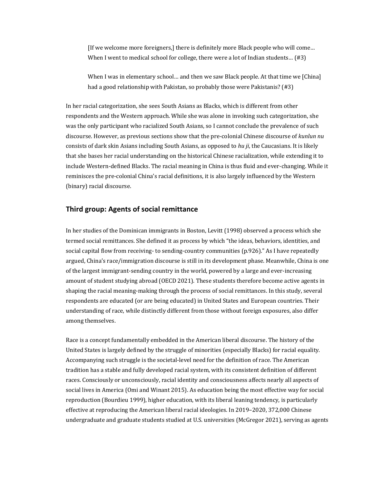[If we welcome more foreigners,] there is definitely more Black people who will come... When I went to medical school for college, there were a lot of Indian students...  $(#3)$ 

When I was in elementary school... and then we saw Black people. At that time we [China] had a good relationship with Pakistan, so probably those were Pakistanis?  $(#3)$ 

In her racial categorization, she sees South Asians as Blacks, which is different from other respondents and the Western approach. While she was alone in invoking such categorization, she was the only participant who racialized South Asians, so I cannot conclude the prevalence of such discourse. However, as previous sections show that the pre-colonial Chinese discourse of *kunlun nu* consists of dark skin Asians including South Asians, as opposed to *hu ji*, the Caucasians. It is likely that she bases her racial understanding on the historical Chinese racialization, while extending it to include Western-defined Blacks. The racial meaning in China is thus fluid and ever-changing. While it reminisces the pre-colonial China's racial definitions, it is also largely influenced by the Western (binary) racial discourse.

#### **Third group: Agents of social remittance**

In her studies of the Dominican immigrants in Boston, Levitt (1998) observed a process which she termed social remittances. She defined it as process by which "the ideas, behaviors, identities, and social capital flow from receiving- to sending-country communities (p.926)." As I have repeatedly argued, China's race/immigration discourse is still in its development phase. Meanwhile, China is one of the largest immigrant-sending country in the world, powered by a large and ever-increasing amount of student studying abroad (OECD 2021). These students therefore become active agents in shaping the racial meaning-making through the process of social remittances. In this study, several respondents are educated (or are being educated) in United States and European countries. Their understanding of race, while distinctly different from those without foreign exposures, also differ among themselves.

Race is a concept fundamentally embedded in the American liberal discourse. The history of the United States is largely defined by the struggle of minorities (especially Blacks) for racial equality. Accompanying such struggle is the societal-level need for the definition of race. The American tradition has a stable and fully developed racial system, with its consistent definition of different races. Consciously or unconsciously, racial identity and consciousness affects nearly all aspects of social lives in America (Omi and Winant 2015). As education being the most effective way for social reproduction (Bourdieu 1999), higher education, with its liberal leaning tendency, is particularly effective at reproducing the American liberal racial ideologies. In 2019–2020, 372,000 Chinese undergraduate and graduate students studied at U.S. universities (McGregor 2021), serving as agents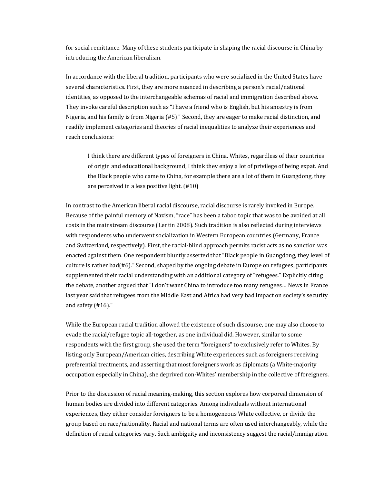for social remittance. Many of these students participate in shaping the racial discourse in China by introducing the American liberalism.

In accordance with the liberal tradition, participants who were socialized in the United States have several characteristics. First, they are more nuanced in describing a person's racial/national identities, as opposed to the interchangeable schemas of racial and immigration described above. They invoke careful description such as "I have a friend who is English, but his ancestry is from Nigeria, and his family is from Nigeria (#5)." Second, they are eager to make racial distinction, and readily implement categories and theories of racial inequalities to analyze their experiences and reach conclusions:

I think there are different types of foreigners in China. Whites, regardless of their countries of origin and educational background, I think they enjoy a lot of privilege of being expat. And the Black people who came to China, for example there are a lot of them in Guangdong, they are perceived in a less positive light.  $(#10)$ 

In contrast to the American liberal racial discourse, racial discourse is rarely invoked in Europe. Because of the painful memory of Nazism, "race" has been a taboo topic that was to be avoided at all costs in the mainstream discourse (Lentin 2008). Such tradition is also reflected during interviews with respondents who underwent socialization in Western European countries (Germany, France and Switzerland, respectively). First, the racial-blind approach permits racist acts as no sanction was enacted against them. One respondent bluntly asserted that "Black people in Guangdong, they level of culture is rather  $bad(\#6)$ ." Second, shaped by the ongoing debate in Europe on refugees, participants supplemented their racial understanding with an additional category of "refugees." Explicitly citing the debate, another argued that "I don't want China to introduce too many refugees... News in France last year said that refugees from the Middle East and Africa had very bad impact on society's security and safety  $(#16)$ ."

While the European racial tradition allowed the existence of such discourse, one may also choose to evade the racial/refugee topic all-together, as one individual did. However, similar to some respondents with the first group, she used the term "foreigners" to exclusively refer to Whites. By listing only European/American cities, describing White experiences such as foreigners receiving preferential treatments, and asserting that most foreigners work as diplomats (a White-majority occupation especially in China), she deprived non-Whites' membership in the collective of foreigners.

Prior to the discussion of racial meaning-making, this section explores how corporeal dimension of human bodies are divided into different categories. Among individuals without international experiences, they either consider foreigners to be a homogeneous White collective, or divide the group based on race/nationality. Racial and national terms are often used interchangeably, while the definition of racial categories vary. Such ambiguity and inconsistency suggest the racial/immigration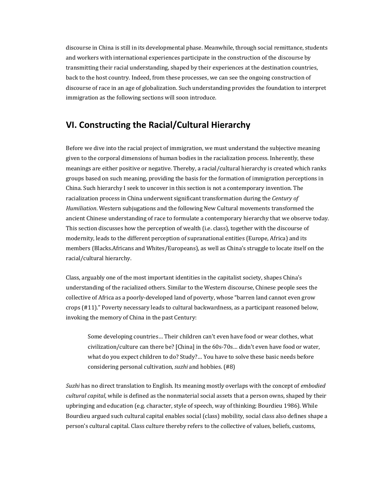discourse in China is still in its developmental phase. Meanwhile, through social remittance, students and workers with international experiences participate in the construction of the discourse by transmitting their racial understanding, shaped by their experiences at the destination countries, back to the host country. Indeed, from these processes, we can see the ongoing construction of discourse of race in an age of globalization. Such understanding provides the foundation to interpret immigration as the following sections will soon introduce.

## **VI. Constructing the Racial/Cultural Hierarchy**

Before we dive into the racial project of immigration, we must understand the subjective meaning given to the corporal dimensions of human bodies in the racialization process. Inherently, these meanings are either positive or negative. Thereby, a racial/cultural hierarchy is created which ranks groups based on such meaning, providing the basis for the formation of immigration perceptions in China. Such hierarchy I seek to uncover in this section is not a contemporary invention. The racialization process in China underwent significant transformation during the *Century of Humiliation*. Western subjugations and the following New Cultural movements transformed the ancient Chinese understanding of race to formulate a contemporary hierarchy that we observe today. This section discusses how the perception of wealth (i.e. class), together with the discourse of modernity, leads to the different perception of supranational entities (Europe, Africa) and its members (Blacks.Africans and Whites/Europeans), as well as China's struggle to locate itself on the racial/cultural hierarchy.

Class, arguably one of the most important identities in the capitalist society, shapes China's understanding of the racialized others. Similar to the Western discourse, Chinese people sees the collective of Africa as a poorly-developed land of poverty, whose "barren land cannot even grow crops  $(\#11)$ ." Poverty necessary leads to cultural backwardness, as a participant reasoned below, invoking the memory of China in the past Century:

Some developing countries... Their children can't even have food or wear clothes, what civilization/culture can there be? [China] in the 60s-70s... didn't even have food or water, what do you expect children to do? Study?... You have to solve these basic needs before considering personal cultivation, *suzhi* and hobbies. (#8)

*Suzhi* has no direct translation to English. Its meaning mostly overlaps with the concept of *embodied cultural capital*, while is defined as the nonmaterial social assets that a person owns, shaped by their upbringing and education (e.g. character, style of speech, way of thinking; Bourdieu 1986). While Bourdieu argued such cultural capital enables social (class) mobility, social class also defines shape a person's cultural capital. Class culture thereby refers to the collective of values, beliefs, customs,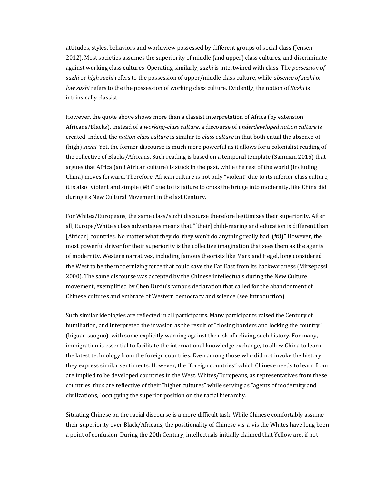attitudes, styles, behaviors and worldview possessed by different groups of social class (Jensen 2012). Most societies assumes the superiority of middle (and upper) class cultures, and discriminate against working class cultures. Operating similarly, *suzhi* is intertwined with class. The *possession of* suzhi or high suzhi refers to the possession of upper/middle class culture, while *absence of suzhi* or *low suzhi* refers to the the possession of working class culture. Evidently, the notion of *Suzhi* is intrinsically classist.

However, the quote above shows more than a classist interpretation of Africa (by extension Africans/Blacks). Instead of a *working-class culture*, a discourse of *underdeveloped nation culture* is created. Indeed, the *nation-class culture* is similar to *class culture* in that both entail the absence of (high) *suzhi*. Yet, the former discourse is much more powerful as it allows for a colonialist reading of the collective of Blacks/Africans. Such reading is based on a temporal template (Samman 2015) that argues that Africa (and African culture) is stuck in the past, while the rest of the world (including China) moves forward. Therefore, African culture is not only "violent" due to its inferior class culture, it is also "violent and simple (#8)" due to its failure to cross the bridge into modernity, like China did during its New Cultural Movement in the last Century.

For Whites/Europeans, the same class/suzhi discourse therefore legitimizes their superiority. After all, Europe/White's class advantages means that "[their] child-rearing and education is different than [African] countries. No matter what they do, they won't do anything really bad. (#8)" However, the most powerful driver for their superiority is the collective imagination that sees them as the agents of modernity. Western narratives, including famous theorists like Marx and Hegel, long considered the West to be the modernizing force that could save the Far East from its backwardness (Mirsepassi 2000). The same discourse was accepted by the Chinese intellectuals during the New Culture movement, exemplified by Chen Duxiu's famous declaration that called for the abandonment of Chinese cultures and embrace of Western democracy and science (see Introduction).

Such similar ideologies are reflected in all participants. Many participants raised the Century of humiliation, and interpreted the invasion as the result of "closing borders and locking the country" (biguan suoguo), with some explicitly warning against the risk of reliving such history. For many, immigration is essential to facilitate the international knowledge exchange, to allow China to learn the latest technology from the foreign countries. Even among those who did not invoke the history, they express similar sentiments. However, the "foreign countries" which Chinese needs to learn from are implied to be developed countries in the West. Whites/Europeans, as representatives from these countries, thus are reflective of their "higher cultures" while serving as "agents of modernity and civilizations," occupying the superior position on the racial hierarchy.

Situating Chinese on the racial discourse is a more difficult task. While Chinese comfortably assume their superiority over Black/Africans, the positionality of Chinese vis-a-vis the Whites have long been a point of confusion. During the 20th Century, intellectuals initially claimed that Yellow are, if not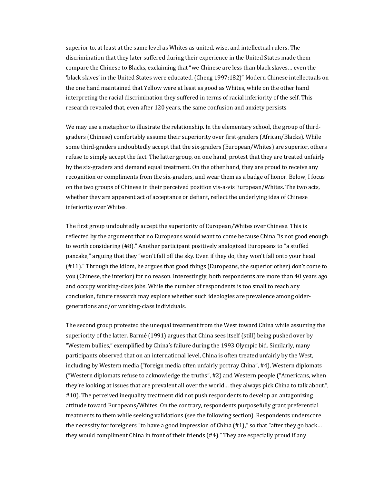superior to, at least at the same level as Whites as united, wise, and intellectual rulers. The discrimination that they later suffered during their experience in the United States made them compare the Chinese to Blacks, exclaiming that "we Chinese are less than black slaves... even the 'black slaves' in the United States were educated. (Cheng 1997:182)" Modern Chinese intellectuals on the one hand maintained that Yellow were at least as good as Whites, while on the other hand interpreting the racial discrimination they suffered in terms of racial inferiority of the self. This research revealed that, even after 120 years, the same confusion and anxiety persists.

We may use a metaphor to illustrate the relationship. In the elementary school, the group of thirdgraders (Chinese) comfortably assume their superiority over first-graders (African/Blacks). While some third-graders undoubtedly accept that the six-graders (European/Whites) are superior, others refuse to simply accept the fact. The latter group, on one hand, protest that they are treated unfairly by the six-graders and demand equal treatment. On the other hand, they are proud to receive any recognition or compliments from the six-graders, and wear them as a badge of honor. Below, I focus on the two groups of Chinese in their perceived position vis-a-vis European/Whites. The two acts, whether they are apparent act of acceptance or defiant, reflect the underlying idea of Chinese inferiority over Whites.

The first group undoubtedly accept the superiority of European/Whites over Chinese. This is reflected by the argument that no Europeans would want to come because China "is not good enough to worth considering (#8)." Another participant positively analogized Europeans to "a stuffed pancake," arguing that they "won't fall off the sky. Even if they do, they won't fall onto your head (#11)." Through the idiom, he argues that good things (Europeans, the superior other) don't come to you (Chinese, the inferior) for no reason. Interestingly, both respondents are more than 40 years ago and occupy working-class jobs. While the number of respondents is too small to reach any conclusion, future research may explore whether such ideologies are prevalence among oldergenerations and/or working-class individuals.

The second group protested the unequal treatment from the West toward China while assuming the superiority of the latter. Barmé (1991) argues that China sees itself (still) being pushed over by "Western bullies," exemplified by China's failure during the 1993 Olympic bid. Similarly, many participants observed that on an international level, China is often treated unfairly by the West, including by Western media ("foreign media often unfairly portray China", #4), Western diplomats ("Western diplomats refuse to acknowledge the truths",  $#2$ ) and Western people ("Americans, when they're looking at issues that are prevalent all over the world... they always pick China to talk about.", #10). The perceived inequality treatment did not push respondents to develop an antagonizing attitude toward Europeans/Whites. On the contrary, respondents purposefully grant preferential treatments to them while seeking validations (see the following section). Respondents underscore the necessity for foreigners "to have a good impression of China  $(\#1)$ ," so that "after they go back... they would compliment China in front of their friends  $(44)$ ." They are especially proud if any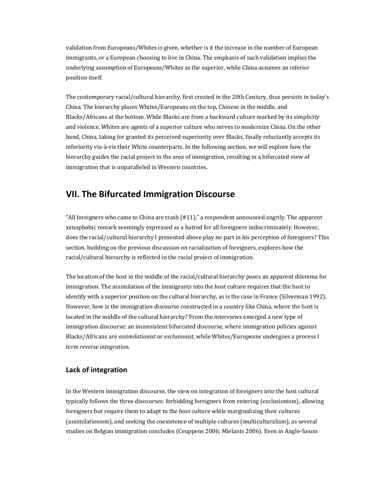validation from Europeans/Whites is given, whether is it the increase in the number of European immigrants, or a European choosing to live in China. The emphasis of such validation implies the underlying assumption of Europeans/Whites as the superior, while China assumes an inferior position itself.

The contemporary racial/cultural hierarchy, first created in the 20th Century, thus persists in today's China. The hierarchy places Whites/Europeans on the top, Chinese in the middle, and Blacks/Africans at the bottom. While Blacks are from a backward culture marked by its simplicity and violence, Whites are agents of a superior culture who serves to modernize China. On the other hand, China, taking for granted its perceived superiority over Blacks, finally reluctantly accepts its inferiority via-à-vis their White counterparts. In the following section, we will explore how the hierarchy guides the racial project in the area of immigration, resulting in a bifurcated view of immigration that is unparalleled in Western countries.

## **VII. The Bifurcated Immigration Discourse**

"All foreigners who came to China are trash  $(#11)$ ," a respondent announced angrily. The apparent xenophobic remark seemingly expressed as a hatred for all foreigners indiscriminately. However, does the racial/cultural hierarchy I presented above play no part in his perception of foreigners? This section, building on the previous discussion on racialization of foreigners, explores how the racial/cultural hierarchy is reflected in the racial project of immigration.

The location of the host in the middle of the racial/cultural hierarchy poses an apparent dilemma for immigration. The assimilation of the immigrants into the host culture requires that the host to identify with a superior position on the cultural hierarchy, as is the case in France (Silverman 1992). However, how is the immigration discourse constructed in a country like China, where the host is located in the middle of the cultural hierarchy? From the interviews emerged a new type of immigration discourse: an inconsistent bifurcated discourse, where immigration policies against Blacks/Africans are *assimilationist* or *exclusionist*, while Whites/Europeans undergoes a process I term *reverse integration*.

#### **Lack of integration**

In the Western immigration discourse, the view on integration of foreigners into the host cultural typically follows the three discourses: forbidding foreigners from entering (exclusionism), allowing foreigners but require them to adapt to the host culture while marginalizing their cultures (assimilationism), and seeking the coexistence of multiple cultures (multiculturalism), as several studies on Belgian immigration concludes (Ceuppens 2006; Mielants 2006). Even in Anglo-Saxon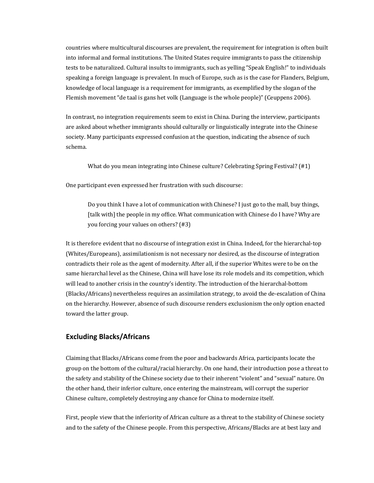countries where multicultural discourses are prevalent, the requirement for integration is often built into informal and formal institutions. The United States require immigrants to pass the citizenship tests to be naturalized. Cultural insults to immigrants, such as yelling "Speak English!" to individuals speaking a foreign language is prevalent. In much of Europe, such as is the case for Flanders, Belgium, knowledge of local language is a requirement for immigrants, as exemplified by the slogan of the Flemish movement "de taal is gans het volk (Language is the whole people)" (Ceuppens 2006).

In contrast, no integration requirements seem to exist in China. During the interview, participants are asked about whether immigrants should culturally or linguistically integrate into the Chinese society. Many participants expressed confusion at the question, indicating the absence of such schema.

What do you mean integrating into Chinese culture? Celebrating Spring Festival?  $(#1)$ 

One participant even expressed her frustration with such discourse:

Do you think I have a lot of communication with Chinese? I just go to the mall, buy things, [talk with] the people in my office. What communication with Chinese do I have? Why are you forcing your values on others? (#3)

It is therefore evident that no discourse of integration exist in China. Indeed, for the hierarchal-top (Whites/Europeans), assimilationism is not necessary nor desired, as the discourse of integration contradicts their role as the agent of modernity. After all, if the superior Whites were to be on the same hierarchal level as the Chinese, China will have lose its role models and its competition, which will lead to another crisis in the country's identity. The introduction of the hierarchal-bottom (Blacks/Africans) nevertheless requires an assimilation strategy, to avoid the de-escalation of China on the hierarchy. However, absence of such discourse renders exclusionism the only option enacted toward the latter group.

#### **Excluding Blacks/Africans**

Claiming that Blacks/Africans come from the poor and backwards Africa, participants locate the group on the bottom of the cultural/racial hierarchy. On one hand, their introduction pose a threat to the safety and stability of the Chinese society due to their inherent "violent" and "sexual" nature. On the other hand, their inferior culture, once entering the mainstream, will corrupt the superior Chinese culture, completely destroying any chance for China to modernize itself.

First, people view that the inferiority of African culture as a threat to the stability of Chinese society and to the safety of the Chinese people. From this perspective, Africans/Blacks are at best lazy and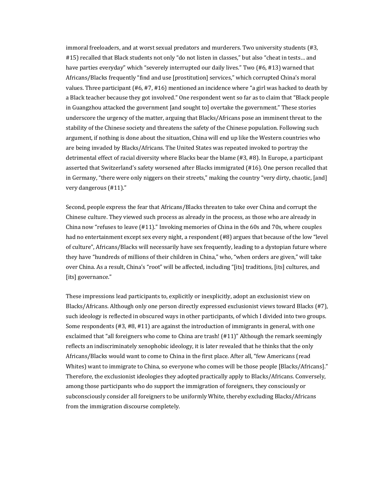immoral freeloaders, and at worst sexual predators and murderers. Two university students (#3, #15) recalled that Black students not only "do not listen in classes," but also "cheat in tests... and have parties everyday" which "severely interrupted our daily lives." Two (#6, #13) warned that Africans/Blacks frequently "find and use [prostitution] services," which corrupted China's moral values. Three participant  $(\#6, \#7, \#16)$  mentioned an incidence where "a girl was hacked to death by a Black teacher because they got involved." One respondent went so far as to claim that "Black people in Guangzhou attacked the government [and sought to] overtake the government." These stories underscore the urgency of the matter, arguing that Blacks/Africans pose an imminent threat to the stability of the Chinese society and threatens the safety of the Chinese population. Following such argument, if nothing is done about the situation, China will end up like the Western countries who are being invaded by Blacks/Africans. The United States was repeated invoked to portray the detrimental effect of racial diversity where Blacks bear the blame  $(#3, #8)$ . In Europe, a participant asserted that Switzerland's safety worsened after Blacks immigrated (#16). One person recalled that in Germany, "there were only niggers on their streets," making the country "very dirty, chaotic, [and] very dangerous (#11)."

Second, people express the fear that Africans/Blacks threaten to take over China and corrupt the Chinese culture. They viewed such process as already in the process, as those who are already in China now "refuses to leave  $(H11)$ ." Invoking memories of China in the 60s and 70s, where couples had no entertainment except sex every night, a respondent (#8) argues that because of the low "level of culture", Africans/Blacks will necessarily have sex frequently, leading to a dystopian future where they have "hundreds of millions of their children in China," who, "when orders are given," will take over China. As a result, China's "root" will be affected, including "[its] traditions, [its] cultures, and [its] governance."

These impressions lead participants to, explicitly or inexplicitly, adopt an exclusionist view on Blacks/Africans. Although only one person directly expressed exclusionist views toward Blacks  $(#7)$ , such ideology is reflected in obscured ways in other participants, of which I divided into two groups. Some respondents  $(H3, H8, H11)$  are against the introduction of immigrants in general, with one exclaimed that "all foreigners who come to China are trash!  $(H11)$ " Although the remark seemingly reflects an indiscriminately xenophobic ideology, it is later revealed that he thinks that the only Africans/Blacks would want to come to China in the first place. After all, "few Americans (read Whites) want to immigrate to China, so everyone who comes will be those people [Blacks/Africans]." Therefore, the exclusionist ideologies they adopted practically apply to Blacks/Africans. Conversely, among those participants who do support the immigration of foreigners, they consciously or subconsciously consider all foreigners to be uniformly White, thereby excluding Blacks/Africans from the immigration discourse completely.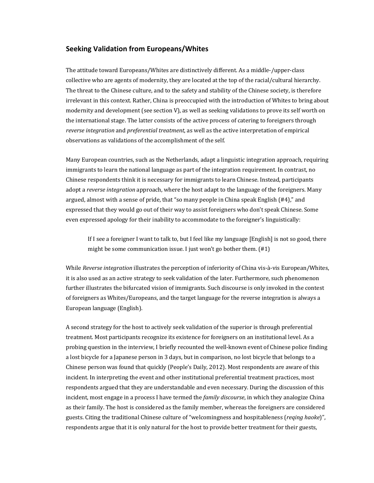#### **Seeking Validation from Europeans/Whites**

The attitude toward Europeans/Whites are distinctively different. As a middle-/upper-class collective who are agents of modernity, they are located at the top of the racial/cultural hierarchy. The threat to the Chinese culture, and to the safety and stability of the Chinese society, is therefore irrelevant in this context. Rather, China is preoccupied with the introduction of Whites to bring about modernity and development (see section V), as well as seeking validations to prove its self worth on the international stage. The latter consists of the active process of catering to foreigners through *reverse integration* and *preferential treatment*, as well as the active interpretation of empirical observations as validations of the accomplishment of the self.

Many European countries, such as the Netherlands, adapt a linguistic integration approach, requiring immigrants to learn the national language as part of the integration requirement. In contrast, no Chinese respondents think it is necessary for immigrants to learn Chinese. Instead, participants adopt a *reverse integration* approach, where the host adapt to the language of the foreigners. Many argued, almost with a sense of pride, that "so many people in China speak English  $(H4)$ ," and expressed that they would go out of their way to assist foreigners who don't speak Chinese. Some even expressed apology for their inability to accommodate to the foreigner's linguistically:

If I see a foreigner I want to talk to, but I feel like my language  $[English]$  is not so good, there might be some communication issue. I just won't go bother them.  $(H1)$ 

While *Reverse integration* illustrates the perception of inferiority of China vis-à-vis European/Whites, it is also used as an active strategy to seek validation of the later. Furthermore, such phenomenon further illustrates the bifurcated vision of immigrants. Such discourse is only invoked in the contest of foreigners as Whites/Europeans, and the target language for the reverse integration is always a European language (English).

A second strategy for the host to actively seek validation of the superior is through preferential treatment. Most participants recognize its existence for foreigners on an institutional level. As a probing question in the interview, I briefly recounted the well-known event of Chinese police finding a lost bicycle for a Japanese person in 3 days, but in comparison, no lost bicycle that belongs to a Chinese person was found that quickly (People's Daily, 2012). Most respondents are aware of this incident. In interpreting the event and other institutional preferential treatment practices, most respondents argued that they are understandable and even necessary. During the discussion of this incident, most engage in a process I have termed the *family discourse*, in which they analogize China as their family. The host is considered as the family member, whereas the foreigners are considered guests. Citing the traditional Chinese culture of "welcomingness and hospitableness (*reqing haoke*)", respondents argue that it is only natural for the host to provide better treatment for their guests,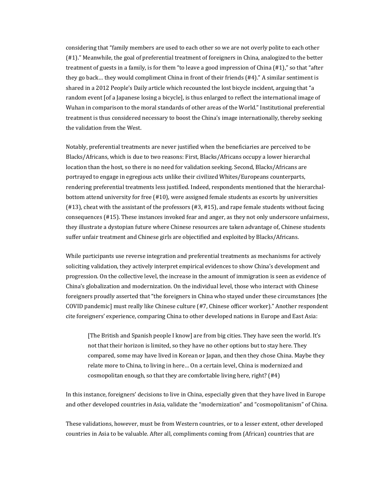considering that "family members are used to each other so we are not overly polite to each other (#1)." Meanwhile, the goal of preferential treatment of foreigners in China, analogized to the better treatment of guests in a family, is for them "to leave a good impression of China  $(\#1)$ ," so that "after they go back... they would compliment China in front of their friends  $(#4)$ ." A similar sentiment is shared in a 2012 People's Daily article which recounted the lost bicycle incident, arguing that "a random event [of a Japanese losing a bicycle], is thus enlarged to reflect the international image of Wuhan in comparison to the moral standards of other areas of the World." Institutional preferential treatment is thus considered necessary to boost the China's image internationally, thereby seeking the validation from the West.

Notably, preferential treatments are never justified when the beneficiaries are perceived to be Blacks/Africans, which is due to two reasons: First, Blacks/Africans occupy a lower hierarchal location than the host, so there is no need for validation seeking. Second, Blacks/Africans are portrayed to engage in egregious acts unlike their civilized Whites/Europeans counterparts, rendering preferential treatments less justified. Indeed, respondents mentioned that the hierarchalbottom attend university for free (#10), were assigned female students as escorts by universities  $(#13)$ , cheat with the assistant of the professors  $(#3, #15)$ , and rape female students without facing consequences (#15). These instances invoked fear and anger, as they not only underscore unfairness, they illustrate a dystopian future where Chinese resources are taken advantage of, Chinese students suffer unfair treatment and Chinese girls are objectified and exploited by Blacks/Africans.

While participants use reverse integration and preferential treatments as mechanisms for actively soliciting validation, they actively interpret empirical evidences to show China's development and progression. On the collective level, the increase in the amount of immigration is seen as evidence of China's globalization and modernization. On the individual level, those who interact with Chinese foreigners proudly asserted that "the foreigners in China who stayed under these circumstances [the COVID pandemic] must really like Chinese culture (#7, Chinese officer worker)." Another respondent cite foreigners' experience, comparing China to other developed nations in Europe and East Asia:

[The British and Spanish people I know] are from big cities. They have seen the world. It's not that their horizon is limited, so they have no other options but to stay here. They compared, some may have lived in Korean or Japan, and then they chose China. Maybe they relate more to China, to living in here... On a certain level, China is modernized and cosmopolitan enough, so that they are comfortable living here, right?  $(#4)$ 

In this instance, foreigners' decisions to live in China, especially given that they have lived in Europe and other developed countries in Asia, validate the "modernization" and "cosmopolitanism" of China.

These validations, however, must be from Western countries, or to a lesser extent, other developed countries in Asia to be valuable. After all, compliments coming from (African) countries that are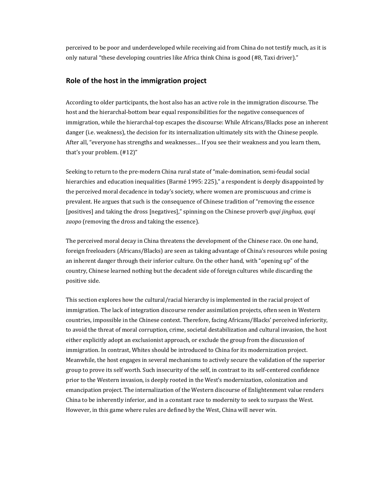perceived to be poor and underdeveloped while receiving aid from China do not testify much, as it is only natural "these developing countries like Africa think China is good (#8, Taxi driver)."

#### **Role of the host in the immigration project**

According to older participants, the host also has an active role in the immigration discourse. The host and the hierarchal-bottom bear equal responsibilities for the negative consequences of immigration, while the hierarchal-top escapes the discourse: While Africans/Blacks pose an inherent danger (i.e. weakness), the decision for its internalization ultimately sits with the Chinese people. After all, "everyone has strengths and weaknesses... If you see their weakness and you learn them, that's your problem.  $(\text{\#}12)$ "

Seeking to return to the pre-modern China rural state of "male-domination, semi-feudal social hierarchies and education inequalities (Barmé 1995: 225)," a respondent is deeply disappointed by the perceived moral decadence in today's society, where women are promiscuous and crime is prevalent. He argues that such is the consequence of Chinese tradition of "removing the essence [positives] and taking the dross [negatives]," spinning on the Chinese proverb *quqi jinghua, quqi* zaopo (removing the dross and taking the essence).

The perceived moral decay in China threatens the development of the Chinese race. On one hand, foreign freeloaders (Africans/Blacks) are seen as taking advantage of China's resources while posing an inherent danger through their inferior culture. On the other hand, with "opening up" of the country, Chinese learned nothing but the decadent side of foreign cultures while discarding the positive side.

This section explores how the cultural/racial hierarchy is implemented in the racial project of immigration. The lack of integration discourse render assimilation projects, often seen in Western countries, impossible in the Chinese context. Therefore, facing Africans/Blacks' perceived inferiority, to avoid the threat of moral corruption, crime, societal destabilization and cultural invasion, the host either explicitly adopt an exclusionist approach, or exclude the group from the discussion of immigration. In contrast, Whites should be introduced to China for its modernization project. Meanwhile, the host engages in several mechanisms to actively secure the validation of the superior group to prove its self worth. Such insecurity of the self, in contrast to its self-centered confidence prior to the Western invasion, is deeply rooted in the West's modernization, colonization and emancipation project. The internalization of the Western discourse of Enlightenment value renders China to be inherently inferior, and in a constant race to modernity to seek to surpass the West. However, in this game where rules are defined by the West, China will never win.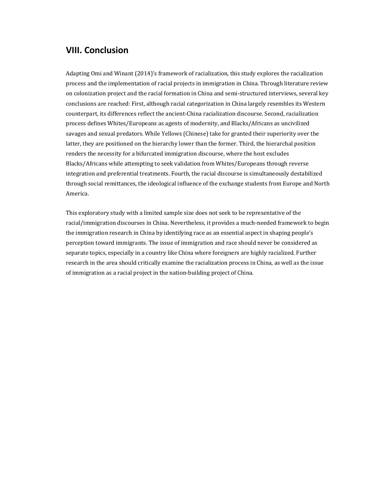## **VIII. Conclusion**

Adapting Omi and Winant (2014)'s framework of racialization, this study explores the racialization process and the implementation of racial projects in immigration in China. Through literature review on colonization project and the racial formation in China and semi-structured interviews, several key conclusions are reached: First, although racial categorization in China largely resembles its Western counterpart, its differences reflect the ancient-China racialization discourse. Second, racialization process defines Whites/Europeans as agents of modernity, and Blacks/Africans as uncivilized savages and sexual predators. While Yellows (Chinese) take for granted their superiority over the latter, they are positioned on the hierarchy lower than the former. Third, the hierarchal position renders the necessity for a bifurcated immigration discourse, where the host excludes Blacks/Africans while attempting to seek validation from Whites/Europeans through reverse integration and preferential treatments. Fourth, the racial discourse is simultaneously destabilized through social remittances, the ideological influence of the exchange students from Europe and North America.

This exploratory study with a limited sample size does not seek to be representative of the racial/immigration discourses in China. Nevertheless, it provides a much-needed framework to begin the immigration research in China by identifying race as an essential aspect in shaping people's perception toward immigrants. The issue of immigration and race should never be considered as separate topics, especially in a country like China where foreigners are highly racialized. Further research in the area should critically examine the racialization process in China, as well as the issue of immigration as a racial project in the nation-building project of China.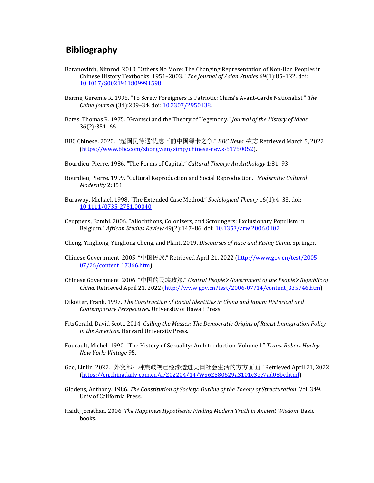## **Bibliography**

- Baranovitch, Nimrod. 2010. "Others No More: The Changing Representation of Non-Han Peoples in Chinese History Textbooks, 1951-2003." The Journal of Asian Studies 69(1):85-122. doi: 10.1017/S0021911809991598.
- Barme, Geremie R. 1995. "To Screw Foreigners Is Patriotic: China's Avant-Garde Nationalist." The *China Journal* (34):209–34. doi: 10.2307/2950138.
- Bates, Thomas R. 1975. "Gramsci and the Theory of Hegemony." *Journal of the History of Ideas* 36(2):351–66.
- BBC Chinese. 2020. "'超国民待遇'忧虑下的中国绿卡之争." *BBC News* 中文. Retrieved March 5, 2022 (https://www.bbc.com/zhongwen/simp/chinese-news-51750052).
- Bourdieu, Pierre. 1986. "The Forms of Capital." *Cultural Theory: An Anthology* 1:81-93.
- Bourdieu, Pierre. 1999. "Cultural Reproduction and Social Reproduction." Modernity: Cultural *Modernity* 2:351.
- Burawoy, Michael. 1998. "The Extended Case Method." *Sociological Theory* 16(1):4–33. doi: 10.1111/0735-2751.00040.
- Ceuppens, Bambi. 2006. "Allochthons, Colonizers, and Scroungers: Exclusionary Populism in Belgium." African Studies Review 49(2):147-86. doi: 10.1353/arw.2006.0102.
- Cheng, Yinghong, Yinghong Cheng, and Plant. 2019. *Discourses of Race and Rising China*. Springer.
- Chinese Government. 2005. "中国民族." Retrieved April 21, 2022 (http://www.gov.cn/test/2005-07/26/content\_17366.htm).
- Chinese Government. 2006. "中国的民族政策." *Central People's Government of the People's Republic of* China. Retrieved April 21, 2022 (http://www.gov.cn/test/2006-07/14/content\_335746.htm).
- Dikötter, Frank. 1997. The Construction of Racial Identities in China and Japan: Historical and *Contemporary Perspectives*. University of Hawaii Press.
- FitzGerald, David Scott. 2014. *Culling the Masses: The Democratic Origins of Racist Immigration Policy in the Americas*. Harvard University Press.
- Foucault, Michel. 1990. "The History of Sexuality: An Introduction, Volume I." Trans. Robert Hurley. *New York: Vintage* 95.
- Gao, Linlin. 2022. "外交部: 种族歧视已经渗透进美国社会生活的方方面面." Retrieved April 21, 2022 (https://cn.chinadaily.com.cn/a/202204/14/WS62580629a3101c3ee7ad08bc.html).
- Giddens, Anthony. 1986. *The Constitution of Society: Outline of the Theory of Structuration*. Vol. 349. Univ of California Press.
- Haidt, Jonathan. 2006. *The Happiness Hypothesis: Finding Modern Truth in Ancient Wisdom.* Basic books.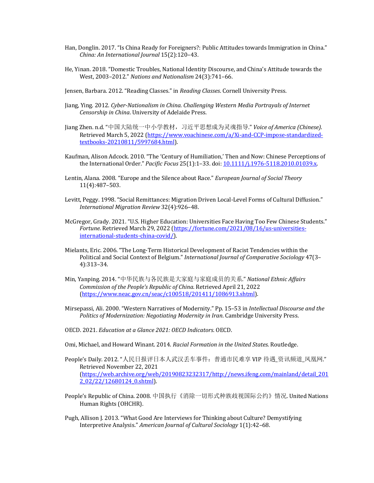- Han, Donglin. 2017. "Is China Ready for Foreigners?: Public Attitudes towards Immigration in China." *China: An International Journal* 15(2):120–43.
- He, Yinan. 2018. "Domestic Troubles, National Identity Discourse, and China's Attitude towards the West, 2003-2012." Nations and Nationalism 24(3):741-66.
- Jensen, Barbara. 2012. "Reading Classes." in *Reading Classes*. Cornell University Press.
- Jiang, Ying. 2012. *Cyber-Nationalism in China. Challenging Western Media Portrayals of Internet Censorship in China*. University of Adelaide Press.
- Jiang Zhen. n.d. "中国大陆统一中小学教材,习近平思想成为灵魂指导." *Voice of America (Chinese)*. Retrieved March 5, 2022 (https://www.voachinese.com/a/Xi-and-CCP-impose-standardizedtextbooks-20210811/5997684.html).
- Kaufman, Alison Adcock. 2010. "The 'Century of Humiliation,' Then and Now: Chinese Perceptions of the International Order." *Pacific Focus* 25(1):1-33. doi: 10.1111/j.1976-5118.2010.01039.x.
- Lentin, Alana. 2008. "Europe and the Silence about Race." *European Journal of Social Theory* 11(4):487–503.
- Levitt, Peggy. 1998. "Social Remittances: Migration Driven Local-Level Forms of Cultural Diffusion." *International Migration Review* 32(4):926–48.
- McGregor, Grady. 2021. "U.S. Higher Education: Universities Face Having Too Few Chinese Students." *Fortune*. Retrieved March 29, 2022 (https://fortune.com/2021/08/16/us-universitiesinternational-students-china-covid/).
- Mielants, Eric. 2006. "The Long-Term Historical Development of Racist Tendencies within the Political and Social Context of Belgium." *International Journal of Comparative Sociology* 47(3– 4):313–34.
- Min, Yanping. 2014. "中华民族与各民族是大家庭与家庭成员的关系." *National Ethnic Affairs* Commission of the People's Republic of China. Retrieved April 21, 2022 (https://www.neac.gov.cn/seac/c100518/201411/1086913.shtml).
- Mirsepassi, Ali. 2000. "Western Narratives of Modernity." Pp. 15-53 in *Intellectual Discourse and the* Politics of Modernization: Negotiating Modernity in Iran. Cambridge University Press.
- OECD. 2021. *Education at a Glance 2021: OECD Indicators*. OECD.
- Omi, Michael, and Howard Winant. 2014. *Racial Formation in the United States*. Routledge.
- People's Daily. 2012. "人民日报评日本人武汉丢车事件: 普通市民难享 VIP 待遇\_资讯频道\_凤凰网." Retrieved November 22, 2021 (https://web.archive.org/web/20190823232317/http://news.ifeng.com/mainland/detail\_201 2\_02/22/12680124\_0.shtml).
- People's Republic of China. 2008. 中国执行《消除一切形式种族歧视国际公约》情况. United Nations Human Rights (OHCHR).
- Pugh, Allison J. 2013. "What Good Are Interviews for Thinking about Culture? Demystifying Interpretive Analysis." *American Journal of Cultural Sociology* 1(1):42–68.